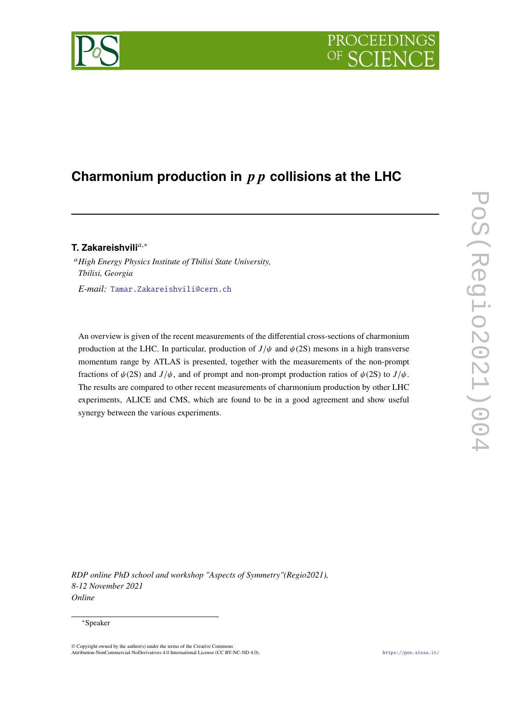# PROCEEDIN

## **Charmonium production in collisions at the LHC**

### **T. Zakareishvili**,<sup>∗</sup>

*High Energy Physics Institute of Tbilisi State University, Tbilisi, Georgia E-mail:* [Tamar.Zakareishvili@cern.ch](mailto:Tamar.Zakareishvili@cern.ch)

An overview is given of the recent measurements of the differential cross-sections of charmonium production at the LHC. In particular, production of  $J/\psi$  and  $\psi$ (2S) mesons in a high transverse momentum range by ATLAS is presented, together with the measurements of the non-prompt fractions of  $\psi(2S)$  and  $J/\psi$ , and of prompt and non-prompt production ratios of  $\psi(2S)$  to  $J/\psi$ . The results are compared to other recent measurements of charmonium production by other LHC experiments, ALICE and CMS, which are found to be in a good agreement and show useful synergy between the various experiments.

*RDP online PhD school and workshop "Aspects of Symmetry"(Regio2021), 8-12 November 2021 Online*

#### <sup>∗</sup>Speaker

<sup>©</sup> Copyright owned by the author(s) under the terms of the Creative Commons Attribution-NonCommercial-NoDerivatives 4.0 International License (CC BY-NC-ND 4.0). <https://pos.sissa.it/>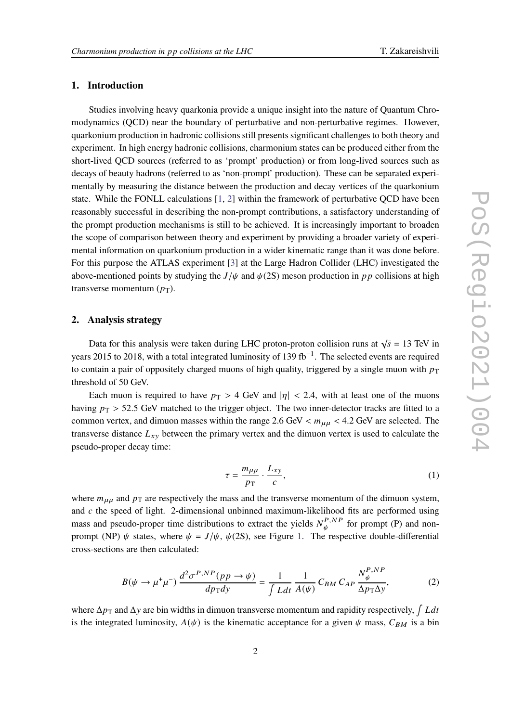#### **1. Introduction**

Studies involving heavy quarkonia provide a unique insight into the nature of Quantum Chromodynamics (QCD) near the boundary of perturbative and non-perturbative regimes. However, quarkonium production in hadronic collisions still presents significant challenges to both theory and experiment. In high energy hadronic collisions, charmonium states can be produced either from the short-lived QCD sources (referred to as 'prompt' production) or from long-lived sources such as decays of beauty hadrons (referred to as 'non-prompt' production). These can be separated experimentally by measuring the distance between the production and decay vertices of the quarkonium state. While the FONLL calculations  $[1, 2]$  $[1, 2]$  $[1, 2]$  within the framework of perturbative QCD have been reasonably successful in describing the non-prompt contributions, a satisfactory understanding of the prompt production mechanisms is still to be achieved. It is increasingly important to broaden the scope of comparison between theory and experiment by providing a broader variety of experimental information on quarkonium production in a wider kinematic range than it was done before. For this purpose the ATLAS experiment [\[3\]](#page-4-2) at the Large Hadron Collider (LHC) investigated the above-mentioned points by studying the  $J/\psi$  and  $\psi$  (2S) meson production in pp collisions at high transverse momentum  $(p_T)$ .

#### **2. Analysis strategy**

Data for this analysis were taken during LHC proton-proton collision runs at  $\sqrt{s} = 13$  TeV in years 2015 to 2018, with a total integrated luminosity of 139 fb<sup>-1</sup>. The selected events are required to contain a pair of oppositely charged muons of high quality, triggered by a single muon with  $p_T$ threshold of 50 GeV.

Each muon is required to have  $p_T > 4$  GeV and  $|\eta| < 2.4$ , with at least one of the muons having  $p_T > 52.5$  GeV matched to the trigger object. The two inner-detector tracks are fitted to a common vertex, and dimuon masses within the range 2.6 GeV  $< m_{\mu\mu} < 4.2$  GeV are selected. The transverse distance  $L_{xy}$  between the primary vertex and the dimuon vertex is used to calculate the pseudo-proper decay time:

$$
\tau = \frac{m_{\mu\mu}}{p_{\rm T}} \cdot \frac{L_{xy}}{c},\tag{1}
$$

where  $m_{\mu\mu}$  and  $p_{\text{T}}$  are respectively the mass and the transverse momentum of the dimuon system, and  $c$  the speed of light. 2-dimensional unbinned maximum-likelihood fits are performed using mass and pseudo-proper time distributions to extract the yields  $N_{\mu}^{P,NP}$  $f^{P,NP}_{\psi}$  for prompt (P) and nonprompt (NP)  $\psi$  states, where  $\psi = J/\psi$ ,  $\psi$ (2S), see Figure [1.](#page-2-0) The respective double-differential cross-sections are then calculated:

$$
B(\psi \to \mu^+ \mu^-) \frac{d^2 \sigma^{P,NP}(pp \to \psi)}{dp_T dy} = \frac{1}{\int L dt} \frac{1}{A(\psi)} C_{BM} C_{AP} \frac{N_{\psi}^{P,NP}}{\Delta p_T \Delta y},
$$
(2)

where  $\Delta p_{\rm T}$  and  $\Delta y$  are bin widths in dimuon transverse momentum and rapidity respectively,  $\int Ldt$ is the integrated luminosity,  $A(\psi)$  is the kinematic acceptance for a given  $\psi$  mass,  $C_{BM}$  is a bin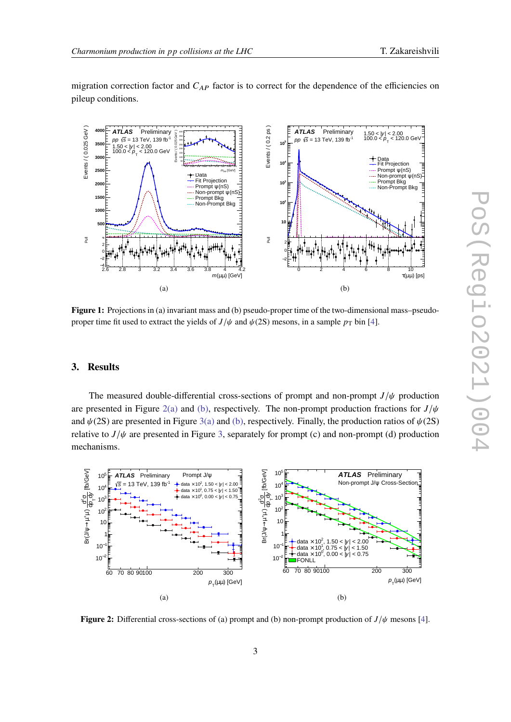migration correction factor and  $C_{AP}$  factor is to correct for the dependence of the efficiencies on pileup conditions.

<span id="page-2-0"></span>

**Figure 1:** Projections in (a) invariant mass and (b) pseudo-proper time of the two-dimensional mass–pseudoproper time fit used to extract the yields of  $J/\psi$  and  $\psi$ (2S) mesons, in a sample  $p_T$  bin [\[4\]](#page-4-3).

#### **3. Results**

The measured double-differential cross-sections of prompt and non-prompt  $J/\psi$  production are presented in Figure [2](#page-2-1)[\(a\)](#page-3-0) and [\(b\),](#page-3-1) respectively. The non-prompt production fractions for  $J/\psi$ and  $\psi(2S)$  are presented in Figure [3](#page-3-2)[\(a\)](#page-3-0) and [\(b\),](#page-3-1) respectively. Finally, the production ratios of  $\psi(2S)$ relative to  $J/\psi$  are presented in Figure [3,](#page-3-2) separately for prompt (c) and non-prompt (d) production mechanisms.

<span id="page-2-1"></span>

**Figure 2:** Differential cross-sections of (a) prompt and (b) non-prompt production of  $J/\psi$  mesons [\[4\]](#page-4-3).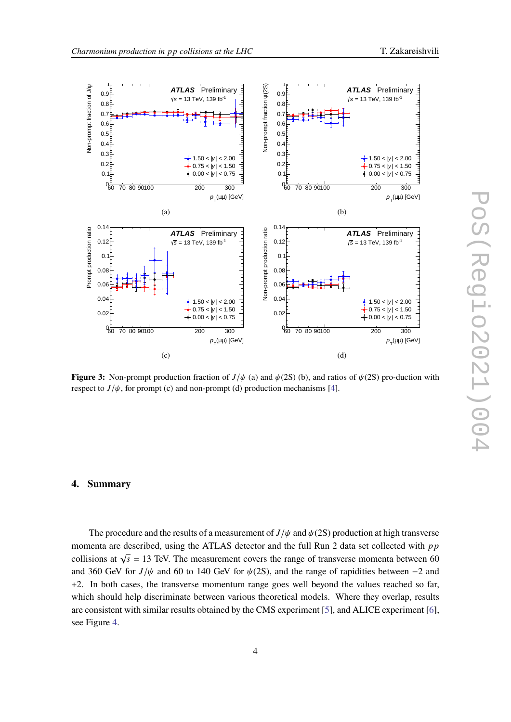<span id="page-3-2"></span><span id="page-3-1"></span><span id="page-3-0"></span>

**Figure 3:** Non-prompt production fraction of  $J/\psi$  (a) and  $\psi$  (2S) (b), and ratios of  $\psi$  (2S) pro-duction with respect to  $J/\psi$ , for prompt (c) and non-prompt (d) production mechanisms [\[4\]](#page-4-3).

#### **4. Summary**

The procedure and the results of a measurement of  $J/\psi$  and  $\psi(2S)$  production at high transverse momenta are described, using the ATLAS detector and the full Run 2 data set collected with  $pp$ collisions at  $\sqrt{s}$  = 13 TeV. The measurement covers the range of transverse momenta between 60 and 360 GeV for  $J/\psi$  and 60 to 140 GeV for  $\psi$ (2S), and the range of rapidities between -2 and +2. In both cases, the transverse momentum range goes well beyond the values reached so far, which should help discriminate between various theoretical models. Where they overlap, results are consistent with similar results obtained by the CMS experiment [\[5\]](#page-5-0), and ALICE experiment [\[6\]](#page-5-1), see Figure [4.](#page-4-4)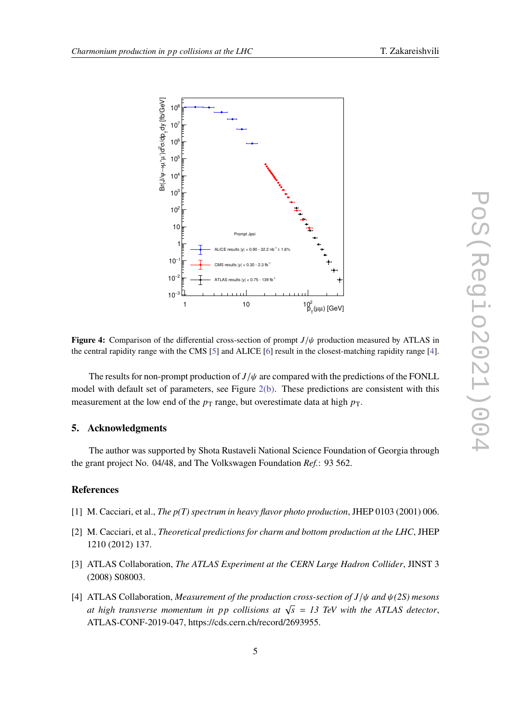<span id="page-4-4"></span>

**Figure 4:** Comparison of the differential cross-section of prompt  $J/\psi$  production measured by ATLAS in the central rapidity range with the CMS [\[5\]](#page-5-0) and ALICE [\[6\]](#page-5-1) result in the closest-matching rapidity range [\[4\]](#page-4-3).

The results for non-prompt production of  $J/\psi$  are compared with the predictions of the FONLL model with default set of parameters, see Figure [2](#page-2-1)[\(b\).](#page-3-1) These predictions are consistent with this measurement at the low end of the  $p_T$  range, but overestimate data at high  $p_T$ .

#### **5. Acknowledgments**

The author was supported by Shota Rustaveli National Science Foundation of Georgia through the grant project No. 04/48, and The Volkswagen Foundation *Ref.*: 93 562.

#### **References**

- <span id="page-4-0"></span>[1] M. Cacciari, et al., *The p(T) spectrum in heavy flavor photo production*, JHEP 0103 (2001) 006.
- <span id="page-4-1"></span>[2] M. Cacciari, et al., *Theoretical predictions for charm and bottom production at the LHC*, JHEP 1210 (2012) 137.
- <span id="page-4-2"></span>[3] ATLAS Collaboration, *The ATLAS Experiment at the CERN Large Hadron Collider*, JINST 3 (2008) S08003.
- <span id="page-4-3"></span>[4] ATLAS Collaboration, *Measurement of the production cross-section of* / *and (2S) mesons at high transverse momentum in pp collisions at*  $\sqrt{s} = 13$  TeV with the ATLAS detector, ATLAS-CONF-2019-047, https://cds.cern.ch/record/2693955.